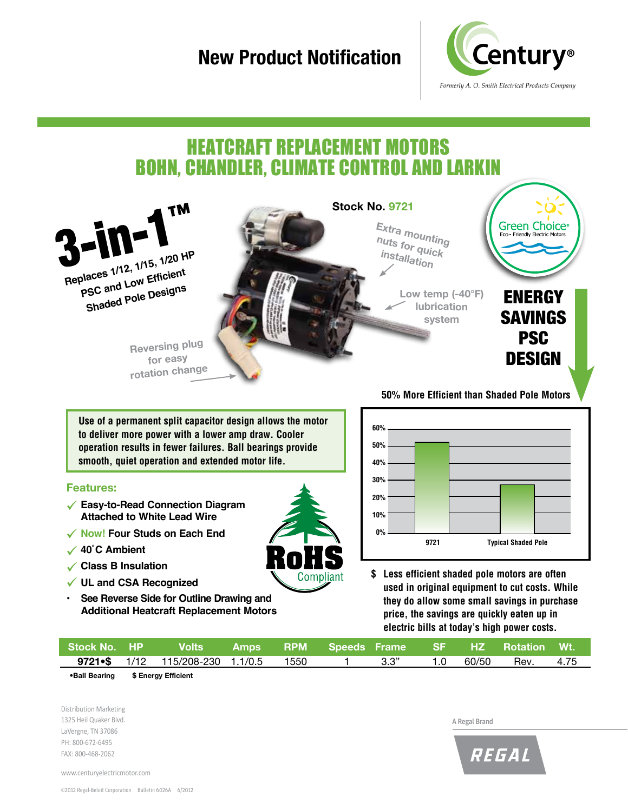## **New Product Notification**



## heatcraft replacement motors bohn, chandler, climate control and larkin



**Use of a permanent split capacitor design allows the motor to deliver more power with a lower amp draw. Cooler operation results in fewer failures. Ball bearings provide smooth, quiet operation and extended motor life.**

#### **Features:**

- **Easy-to-Read Connection Diagram Attached to White Lead Wire**
- **Now! Four Studs on Each End**
- **40˚C Ambient**
- **Class B Insulation**
- **UL and CSA Recognized**
- **• See Reverse Side for Outline Drawing and Additional Heatcraft Replacement Motors**

**9721 Typical Shaded Pole 60% 50% 40% 30% 20% 10% 0% 9721**

**\$ Less efficient shaded pole motors are often used in original equipment to cut costs. While they do allow some small savings in purchase price, the savings are quickly eaten up in electric bills at today's high power costs.** 

| Stock No. HP        Volts       Amps      RPM     Speeds Frame      SF      HZ    Rotation   Wt. |  |  |  |  |  |
|--------------------------------------------------------------------------------------------------|--|--|--|--|--|
| 9721•\$ 1/12 115/208-230 1.1/0.5 1550 1 3.3" 1.0 60/50 Rev. 4.75                                 |  |  |  |  |  |

**•Ball Bearing \$ Energy Efficient**

Distribution Marketing 1325 Heil Quaker Blvd. LaVergne, TN 37086 PH: 800-672-6495 FAX: 800-468-2062

A Regal Brand